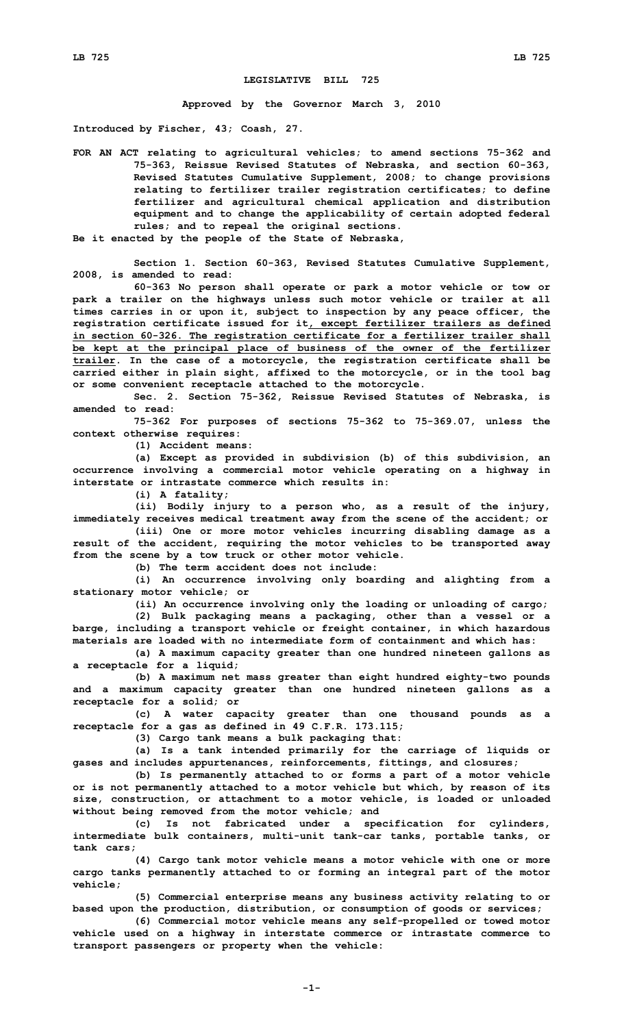## **LEGISLATIVE BILL 725**

**Approved by the Governor March 3, 2010**

**Introduced by Fischer, 43; Coash, 27.**

**FOR AN ACT relating to agricultural vehicles; to amend sections 75-362 and 75-363, Reissue Revised Statutes of Nebraska, and section 60-363, Revised Statutes Cumulative Supplement, 2008; to change provisions relating to fertilizer trailer registration certificates; to define fertilizer and agricultural chemical application and distribution equipment and to change the applicability of certain adopted federal rules; and to repeal the original sections.**

**Be it enacted by the people of the State of Nebraska,**

**Section 1. Section 60-363, Revised Statutes Cumulative Supplement, 2008, is amended to read:**

**60-363 No person shall operate or park <sup>a</sup> motor vehicle or tow or park <sup>a</sup> trailer on the highways unless such motor vehicle or trailer at all times carries in or upon it, subject to inspection by any peace officer, the registration certificate issued for it, except fertilizer trailers as defined in section 60-326. The registration certificate for <sup>a</sup> fertilizer trailer shall be kept at the principal place of business of the owner of the fertilizer trailer. In the case of <sup>a</sup> motorcycle, the registration certificate shall be carried either in plain sight, affixed to the motorcycle, or in the tool bag or some convenient receptacle attached to the motorcycle.**

**Sec. 2. Section 75-362, Reissue Revised Statutes of Nebraska, is amended to read:**

**75-362 For purposes of sections 75-362 to 75-369.07, unless the context otherwise requires:**

**(1) Accident means:**

**(a) Except as provided in subdivision (b) of this subdivision, an occurrence involving <sup>a</sup> commercial motor vehicle operating on <sup>a</sup> highway in interstate or intrastate commerce which results in:**

**(i) <sup>A</sup> fatality;**

**(ii) Bodily injury to <sup>a</sup> person who, as <sup>a</sup> result of the injury, immediately receives medical treatment away from the scene of the accident; or**

**(iii) One or more motor vehicles incurring disabling damage as <sup>a</sup> result of the accident, requiring the motor vehicles to be transported away from the scene by <sup>a</sup> tow truck or other motor vehicle.**

**(b) The term accident does not include:**

**(i) An occurrence involving only boarding and alighting from <sup>a</sup> stationary motor vehicle; or**

**(ii) An occurrence involving only the loading or unloading of cargo;**

**(2) Bulk packaging means <sup>a</sup> packaging, other than <sup>a</sup> vessel or <sup>a</sup> barge, including <sup>a</sup> transport vehicle or freight container, in which hazardous materials are loaded with no intermediate form of containment and which has:**

**(a) <sup>A</sup> maximum capacity greater than one hundred nineteen gallons as <sup>a</sup> receptacle for <sup>a</sup> liquid;**

**(b) <sup>A</sup> maximum net mass greater than eight hundred eighty-two pounds and <sup>a</sup> maximum capacity greater than one hundred nineteen gallons as <sup>a</sup> receptacle for <sup>a</sup> solid; or**

**(c) <sup>A</sup> water capacity greater than one thousand pounds as <sup>a</sup> receptacle for <sup>a</sup> gas as defined in 49 C.F.R. 173.115;**

**(3) Cargo tank means <sup>a</sup> bulk packaging that:**

**(a) Is <sup>a</sup> tank intended primarily for the carriage of liquids or gases and includes appurtenances, reinforcements, fittings, and closures;**

**(b) Is permanently attached to or forms <sup>a</sup> part of <sup>a</sup> motor vehicle or is not permanently attached to <sup>a</sup> motor vehicle but which, by reason of its size, construction, or attachment to <sup>a</sup> motor vehicle, is loaded or unloaded without being removed from the motor vehicle; and**

**(c) Is not fabricated under <sup>a</sup> specification for cylinders, intermediate bulk containers, multi-unit tank-car tanks, portable tanks, or tank cars;**

**(4) Cargo tank motor vehicle means <sup>a</sup> motor vehicle with one or more cargo tanks permanently attached to or forming an integral part of the motor vehicle;**

**(5) Commercial enterprise means any business activity relating to or based upon the production, distribution, or consumption of goods or services;**

**(6) Commercial motor vehicle means any self-propelled or towed motor vehicle used on <sup>a</sup> highway in interstate commerce or intrastate commerce to transport passengers or property when the vehicle:**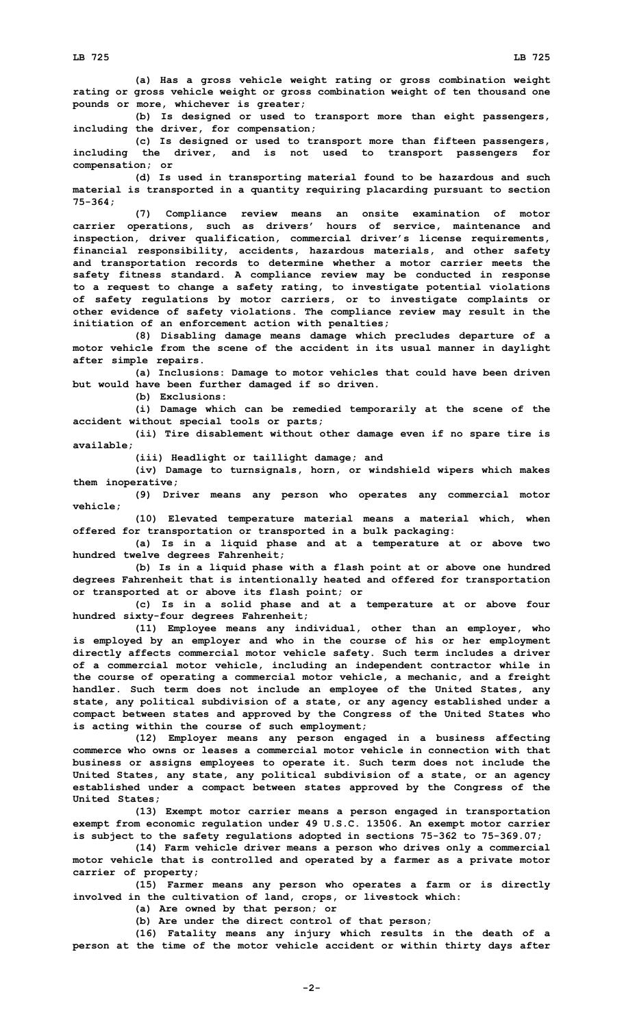**(a) Has <sup>a</sup> gross vehicle weight rating or gross combination weight rating or gross vehicle weight or gross combination weight of ten thousand one pounds or more, whichever is greater;**

**(b) Is designed or used to transport more than eight passengers, including the driver, for compensation;**

**(c) Is designed or used to transport more than fifteen passengers, including the driver, and is not used to transport passengers for compensation; or**

**(d) Is used in transporting material found to be hazardous and such material is transported in <sup>a</sup> quantity requiring placarding pursuant to section 75-364;**

**(7) Compliance review means an onsite examination of motor carrier operations, such as drivers' hours of service, maintenance and inspection, driver qualification, commercial driver's license requirements, financial responsibility, accidents, hazardous materials, and other safety and transportation records to determine whether <sup>a</sup> motor carrier meets the safety fitness standard. A compliance review may be conducted in response to <sup>a</sup> request to change <sup>a</sup> safety rating, to investigate potential violations of safety regulations by motor carriers, or to investigate complaints or other evidence of safety violations. The compliance review may result in the initiation of an enforcement action with penalties;**

**(8) Disabling damage means damage which precludes departure of <sup>a</sup> motor vehicle from the scene of the accident in its usual manner in daylight after simple repairs.**

**(a) Inclusions: Damage to motor vehicles that could have been driven but would have been further damaged if so driven.**

**(b) Exclusions:**

**(i) Damage which can be remedied temporarily at the scene of the accident without special tools or parts;**

**(ii) Tire disablement without other damage even if no spare tire is available;**

**(iii) Headlight or taillight damage; and**

**(iv) Damage to turnsignals, horn, or windshield wipers which makes them inoperative;**

**(9) Driver means any person who operates any commercial motor vehicle;**

**(10) Elevated temperature material means <sup>a</sup> material which, when offered for transportation or transported in <sup>a</sup> bulk packaging:**

**(a) Is in <sup>a</sup> liquid phase and at <sup>a</sup> temperature at or above two hundred twelve degrees Fahrenheit;**

**(b) Is in <sup>a</sup> liquid phase with <sup>a</sup> flash point at or above one hundred degrees Fahrenheit that is intentionally heated and offered for transportation or transported at or above its flash point; or**

**(c) Is in <sup>a</sup> solid phase and at <sup>a</sup> temperature at or above four hundred sixty-four degrees Fahrenheit;**

**(11) Employee means any individual, other than an employer, who is employed by an employer and who in the course of his or her employment directly affects commercial motor vehicle safety. Such term includes <sup>a</sup> driver of <sup>a</sup> commercial motor vehicle, including an independent contractor while in the course of operating <sup>a</sup> commercial motor vehicle, <sup>a</sup> mechanic, and <sup>a</sup> freight handler. Such term does not include an employee of the United States, any state, any political subdivision of <sup>a</sup> state, or any agency established under <sup>a</sup> compact between states and approved by the Congress of the United States who is acting within the course of such employment;**

**(12) Employer means any person engaged in <sup>a</sup> business affecting commerce who owns or leases a commercial motor vehicle in connection with that business or assigns employees to operate it. Such term does not include the United States, any state, any political subdivision of <sup>a</sup> state, or an agency established under <sup>a</sup> compact between states approved by the Congress of the United States;**

**(13) Exempt motor carrier means <sup>a</sup> person engaged in transportation exempt from economic regulation under 49 U.S.C. 13506. An exempt motor carrier is subject to the safety regulations adopted in sections 75-362 to 75-369.07;**

**(14) Farm vehicle driver means <sup>a</sup> person who drives only <sup>a</sup> commercial motor vehicle that is controlled and operated by <sup>a</sup> farmer as <sup>a</sup> private motor carrier of property;**

**(15) Farmer means any person who operates <sup>a</sup> farm or is directly involved in the cultivation of land, crops, or livestock which:**

**(a) Are owned by that person; or**

**(b) Are under the direct control of that person;**

**(16) Fatality means any injury which results in the death of <sup>a</sup> person at the time of the motor vehicle accident or within thirty days after**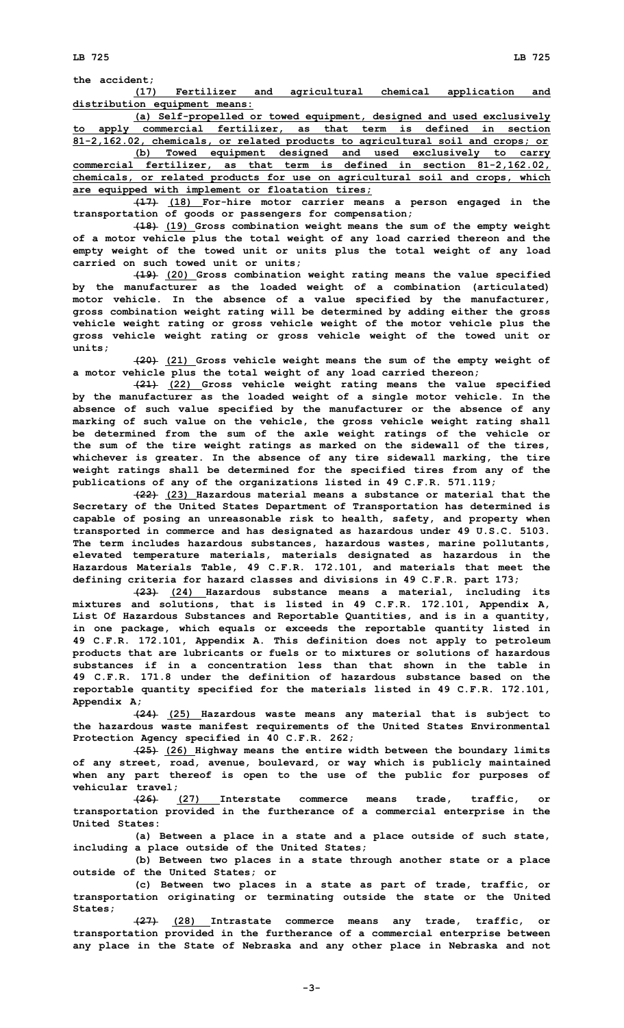**(17) Fertilizer and agricultural chemical application and distribution equipment means:**

**(a) Self-propelled or towed equipment, designed and used exclusively to apply commercial fertilizer, as that term is defined in section 81-2,162.02, chemicals, or related products to agricultural soil and crops; or**

**(b) Towed equipment designed and used exclusively to carry commercial fertilizer, as that term is defined in section 81-2,162.02, chemicals, or related products for use on agricultural soil and crops, which are equipped with implement or floatation tires;**

**(17) (18) For-hire motor carrier means <sup>a</sup> person engaged in the transportation of goods or passengers for compensation;**

**(18) (19) Gross combination weight means the sum of the empty weight of <sup>a</sup> motor vehicle plus the total weight of any load carried thereon and the empty weight of the towed unit or units plus the total weight of any load carried on such towed unit or units;**

**(19) (20) Gross combination weight rating means the value specified by the manufacturer as the loaded weight of <sup>a</sup> combination (articulated) motor vehicle. In the absence of <sup>a</sup> value specified by the manufacturer, gross combination weight rating will be determined by adding either the gross vehicle weight rating or gross vehicle weight of the motor vehicle plus the gross vehicle weight rating or gross vehicle weight of the towed unit or units;**

**(20) (21) Gross vehicle weight means the sum of the empty weight of <sup>a</sup> motor vehicle plus the total weight of any load carried thereon;**

**(21) (22) Gross vehicle weight rating means the value specified by the manufacturer as the loaded weight of <sup>a</sup> single motor vehicle. In the absence of such value specified by the manufacturer or the absence of any marking of such value on the vehicle, the gross vehicle weight rating shall be determined from the sum of the axle weight ratings of the vehicle or the sum of the tire weight ratings as marked on the sidewall of the tires, whichever is greater. In the absence of any tire sidewall marking, the tire weight ratings shall be determined for the specified tires from any of the publications of any of the organizations listed in 49 C.F.R. 571.119;**

**(22) (23) Hazardous material means <sup>a</sup> substance or material that the Secretary of the United States Department of Transportation has determined is capable of posing an unreasonable risk to health, safety, and property when transported in commerce and has designated as hazardous under 49 U.S.C. 5103. The term includes hazardous substances, hazardous wastes, marine pollutants, elevated temperature materials, materials designated as hazardous in the Hazardous Materials Table, 49 C.F.R. 172.101, and materials that meet the defining criteria for hazard classes and divisions in 49 C.F.R. part 173;**

**(23) (24) Hazardous substance means <sup>a</sup> material, including its mixtures and solutions, that is listed in 49 C.F.R. 172.101, Appendix A, List Of Hazardous Substances and Reportable Quantities, and is in <sup>a</sup> quantity, in one package, which equals or exceeds the reportable quantity listed in 49 C.F.R. 172.101, Appendix A. This definition does not apply to petroleum products that are lubricants or fuels or to mixtures or solutions of hazardous substances if in a concentration less than that shown in the table in 49 C.F.R. 171.8 under the definition of hazardous substance based on the reportable quantity specified for the materials listed in 49 C.F.R. 172.101, Appendix A;**

**(24) (25) Hazardous waste means any material that is subject to the hazardous waste manifest requirements of the United States Environmental Protection Agency specified in 40 C.F.R. 262;**

**(25) (26) Highway means the entire width between the boundary limits of any street, road, avenue, boulevard, or way which is publicly maintained when any part thereof is open to the use of the public for purposes of vehicular travel;**

**(26) (27) Interstate commerce means trade, traffic, or transportation provided in the furtherance of <sup>a</sup> commercial enterprise in the United States:**

**(a) Between <sup>a</sup> place in <sup>a</sup> state and <sup>a</sup> place outside of such state, including <sup>a</sup> place outside of the United States;**

**(b) Between two places in <sup>a</sup> state through another state or <sup>a</sup> place outside of the United States; or**

**(c) Between two places in <sup>a</sup> state as part of trade, traffic, or transportation originating or terminating outside the state or the United States;**

**(27) (28) Intrastate commerce means any trade, traffic, or transportation provided in the furtherance of <sup>a</sup> commercial enterprise between any place in the State of Nebraska and any other place in Nebraska and not**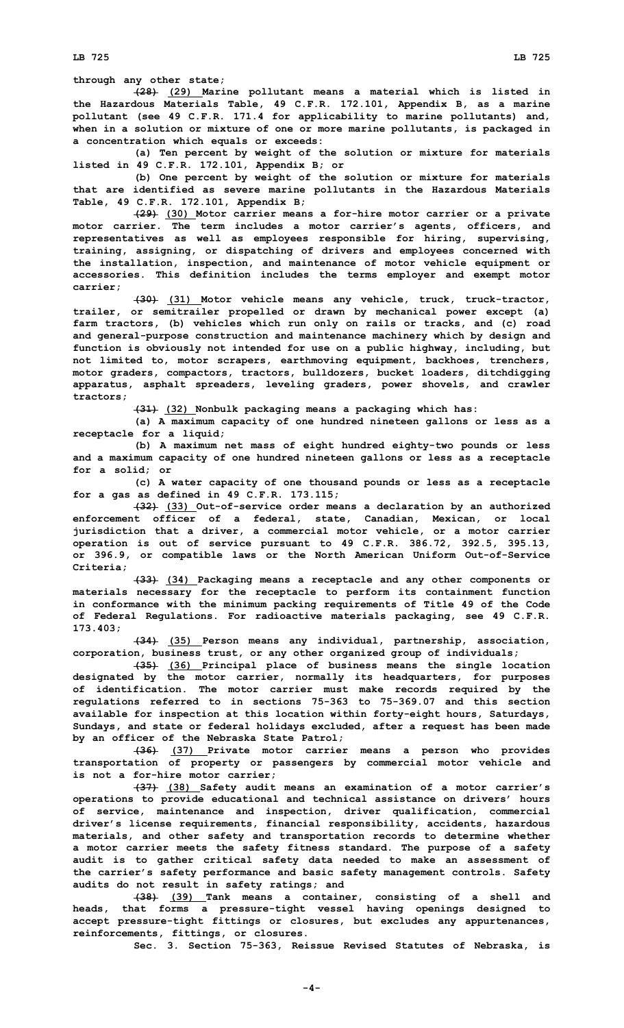**through any other state;**

**(28) (29) Marine pollutant means <sup>a</sup> material which is listed in the Hazardous Materials Table, 49 C.F.R. 172.101, Appendix B, as <sup>a</sup> marine pollutant (see 49 C.F.R. 171.4 for applicability to marine pollutants) and, when in <sup>a</sup> solution or mixture of one or more marine pollutants, is packaged in <sup>a</sup> concentration which equals or exceeds:**

**(a) Ten percent by weight of the solution or mixture for materials listed in 49 C.F.R. 172.101, Appendix B; or**

**(b) One percent by weight of the solution or mixture for materials that are identified as severe marine pollutants in the Hazardous Materials Table, 49 C.F.R. 172.101, Appendix B;**

**(29) (30) Motor carrier means <sup>a</sup> for-hire motor carrier or <sup>a</sup> private motor carrier. The term includes <sup>a</sup> motor carrier's agents, officers, and representatives as well as employees responsible for hiring, supervising, training, assigning, or dispatching of drivers and employees concerned with the installation, inspection, and maintenance of motor vehicle equipment or accessories. This definition includes the terms employer and exempt motor carrier;**

**(30) (31) Motor vehicle means any vehicle, truck, truck-tractor, trailer, or semitrailer propelled or drawn by mechanical power except (a) farm tractors, (b) vehicles which run only on rails or tracks, and (c) road and general-purpose construction and maintenance machinery which by design and function is obviously not intended for use on <sup>a</sup> public highway, including, but not limited to, motor scrapers, earthmoving equipment, backhoes, trenchers, motor graders, compactors, tractors, bulldozers, bucket loaders, ditchdigging apparatus, asphalt spreaders, leveling graders, power shovels, and crawler tractors;**

**(31) (32) Nonbulk packaging means <sup>a</sup> packaging which has:**

**(a) <sup>A</sup> maximum capacity of one hundred nineteen gallons or less as <sup>a</sup> receptacle for <sup>a</sup> liquid;**

**(b) <sup>A</sup> maximum net mass of eight hundred eighty-two pounds or less and <sup>a</sup> maximum capacity of one hundred nineteen gallons or less as <sup>a</sup> receptacle for <sup>a</sup> solid; or**

**(c) <sup>A</sup> water capacity of one thousand pounds or less as <sup>a</sup> receptacle for <sup>a</sup> gas as defined in 49 C.F.R. 173.115;**

**(32) (33) Out-of-service order means <sup>a</sup> declaration by an authorized enforcement officer of <sup>a</sup> federal, state, Canadian, Mexican, or local jurisdiction that <sup>a</sup> driver, <sup>a</sup> commercial motor vehicle, or <sup>a</sup> motor carrier operation is out of service pursuant to 49 C.F.R. 386.72, 392.5, 395.13, or 396.9, or compatible laws or the North American Uniform Out-of-Service Criteria;**

**(33) (34) Packaging means <sup>a</sup> receptacle and any other components or materials necessary for the receptacle to perform its containment function in conformance with the minimum packing requirements of Title 49 of the Code of Federal Regulations. For radioactive materials packaging, see 49 C.F.R. 173.403;**

**(34) (35) Person means any individual, partnership, association, corporation, business trust, or any other organized group of individuals;**

**(35) (36) Principal place of business means the single location designated by the motor carrier, normally its headquarters, for purposes of identification. The motor carrier must make records required by the regulations referred to in sections 75-363 to 75-369.07 and this section available for inspection at this location within forty-eight hours, Saturdays, Sundays, and state or federal holidays excluded, after <sup>a</sup> request has been made by an officer of the Nebraska State Patrol;**

**(36) (37) Private motor carrier means <sup>a</sup> person who provides transportation of property or passengers by commercial motor vehicle and is not <sup>a</sup> for-hire motor carrier;**

**(37) (38) Safety audit means an examination of <sup>a</sup> motor carrier's operations to provide educational and technical assistance on drivers' hours of service, maintenance and inspection, driver qualification, commercial driver's license requirements, financial responsibility, accidents, hazardous materials, and other safety and transportation records to determine whether <sup>a</sup> motor carrier meets the safety fitness standard. The purpose of <sup>a</sup> safety audit is to gather critical safety data needed to make an assessment of the carrier's safety performance and basic safety management controls. Safety audits do not result in safety ratings; and**

**(38) (39) Tank means <sup>a</sup> container, consisting of <sup>a</sup> shell and heads, that forms <sup>a</sup> pressure-tight vessel having openings designed to accept pressure-tight fittings or closures, but excludes any appurtenances, reinforcements, fittings, or closures.**

**Sec. 3. Section 75-363, Reissue Revised Statutes of Nebraska, is**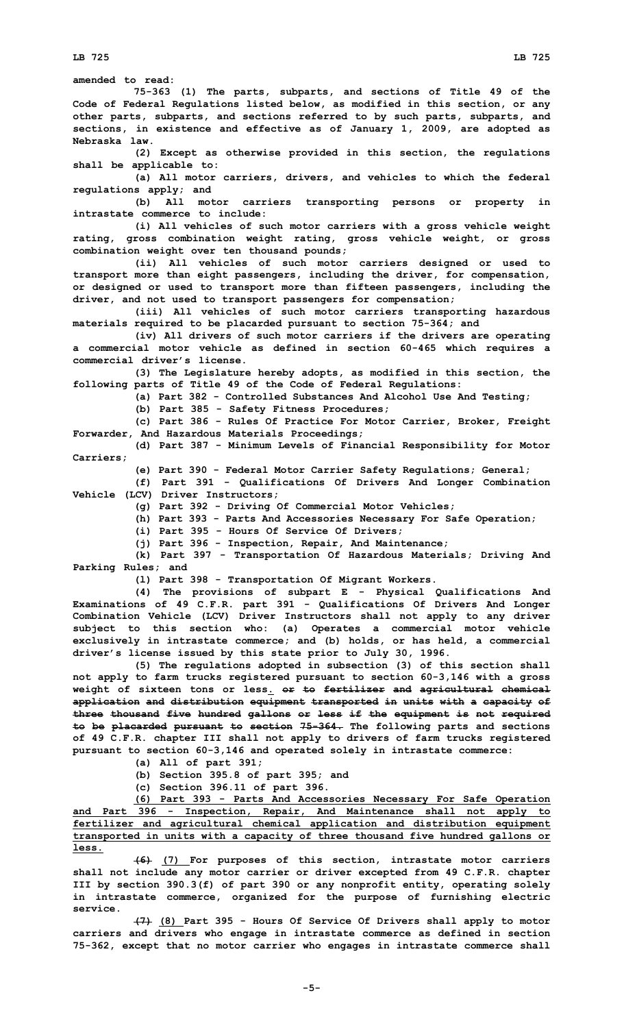**LB 725 LB 725**

**amended to read: 75-363 (1) The parts, subparts, and sections of Title 49 of the Code of Federal Regulations listed below, as modified in this section, or any other parts, subparts, and sections referred to by such parts, subparts, and sections, in existence and effective as of January 1, 2009, are adopted as Nebraska law. (2) Except as otherwise provided in this section, the regulations shall be applicable to: (a) All motor carriers, drivers, and vehicles to which the federal regulations apply; and (b) All motor carriers transporting persons or property in intrastate commerce to include: (i) All vehicles of such motor carriers with <sup>a</sup> gross vehicle weight rating, gross combination weight rating, gross vehicle weight, or gross combination weight over ten thousand pounds; (ii) All vehicles of such motor carriers designed or used to transport more than eight passengers, including the driver, for compensation, or designed or used to transport more than fifteen passengers, including the driver, and not used to transport passengers for compensation; (iii) All vehicles of such motor carriers transporting hazardous materials required to be placarded pursuant to section 75-364; and (iv) All drivers of such motor carriers if the drivers are operating <sup>a</sup> commercial motor vehicle as defined in section 60-465 which requires <sup>a</sup> commercial driver's license. (3) The Legislature hereby adopts, as modified in this section, the following parts of Title 49 of the Code of Federal Regulations: (a) Part 382 - Controlled Substances And Alcohol Use And Testing; (b) Part 385 - Safety Fitness Procedures; (c) Part 386 - Rules Of Practice For Motor Carrier, Broker, Freight Forwarder, And Hazardous Materials Proceedings; (d) Part 387 - Minimum Levels of Financial Responsibility for Motor Carriers; (e) Part 390 - Federal Motor Carrier Safety Regulations; General; (f) Part 391 - Qualifications Of Drivers And Longer Combination Vehicle (LCV) Driver Instructors; (g) Part 392 - Driving Of Commercial Motor Vehicles; (h) Part 393 - Parts And Accessories Necessary For Safe Operation; (i) Part 395 - Hours Of Service Of Drivers; (j) Part 396 - Inspection, Repair, And Maintenance; (k) Part 397 - Transportation Of Hazardous Materials; Driving And Parking Rules; and (l) Part 398 - Transportation Of Migrant Workers. (4) The provisions of subpart <sup>E</sup> - Physical Qualifications And Examinations of 49 C.F.R. part 391 - Qualifications Of Drivers And Longer Combination Vehicle (LCV) Driver Instructors shall not apply to any driver subject to this section who: (a) Operates <sup>a</sup> commercial motor vehicle exclusively in intrastate commerce; and (b) holds, or has held, <sup>a</sup> commercial driver's license issued by this state prior to July 30, 1996. (5) The regulations adopted in subsection (3) of this section shall not apply to farm trucks registered pursuant to section 60-3,146 with <sup>a</sup> gross weight of sixteen tons or less. or to fertilizer and agricultural chemical application and distribution equipment transported in units with <sup>a</sup> capacity of three thousand five hundred gallons or less if the equipment is not required to be placarded pursuant to section 75-364. The following parts and sections of 49 C.F.R. chapter III shall not apply to drivers of farm trucks registered pursuant to section 60-3,146 and operated solely in intrastate commerce: (a) All of part 391; (b) Section 395.8 of part 395; and (c) Section 396.11 of part 396. (6) Part 393 - Parts And Accessories Necessary For Safe Operation and Part 396 - Inspection, Repair, And Maintenance shall not apply to fertilizer and agricultural chemical application and distribution equipment**

**less. (6) (7) For purposes of this section, intrastate motor carriers shall not include any motor carrier or driver excepted from 49 C.F.R. chapter III by section 390.3(f) of part 390 or any nonprofit entity, operating solely in intrastate commerce, organized for the purpose of furnishing electric service.**

**transported in units with <sup>a</sup> capacity of three thousand five hundred gallons or**

**(7) (8) Part 395 - Hours Of Service Of Drivers shall apply to motor carriers and drivers who engage in intrastate commerce as defined in section 75-362, except that no motor carrier who engages in intrastate commerce shall**